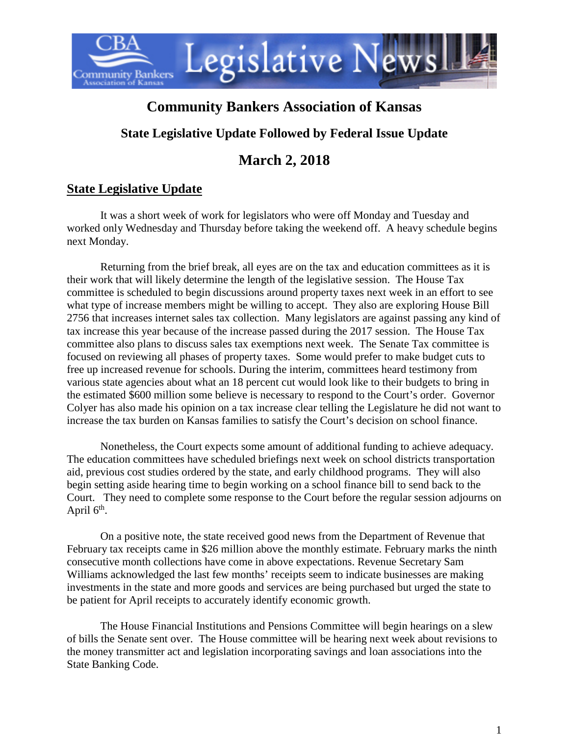

# **Community Bankers Association of Kansas**

# **State Legislative Update Followed by Federal Issue Update**

# **March 2, 2018**

# **State Legislative Update**

It was a short week of work for legislators who were off Monday and Tuesday and worked only Wednesday and Thursday before taking the weekend off. A heavy schedule begins next Monday.

Returning from the brief break, all eyes are on the tax and education committees as it is their work that will likely determine the length of the legislative session. The House Tax committee is scheduled to begin discussions around property taxes next week in an effort to see what type of increase members might be willing to accept. They also are exploring House Bill 2756 that increases internet sales tax collection. Many legislators are against passing any kind of tax increase this year because of the increase passed during the 2017 session. The House Tax committee also plans to discuss sales tax exemptions next week. The Senate Tax committee is focused on reviewing all phases of property taxes. Some would prefer to make budget cuts to free up increased revenue for schools. During the interim, committees heard testimony from various state agencies about what an 18 percent cut would look like to their budgets to bring in the estimated \$600 million some believe is necessary to respond to the Court's order. Governor Colyer has also made his opinion on a tax increase clear telling the Legislature he did not want to increase the tax burden on Kansas families to satisfy the Court's decision on school finance.

Nonetheless, the Court expects some amount of additional funding to achieve adequacy. The education committees have scheduled briefings next week on school districts transportation aid, previous cost studies ordered by the state, and early childhood programs. They will also begin setting aside hearing time to begin working on a school finance bill to send back to the Court. They need to complete some response to the Court before the regular session adjourns on April  $6<sup>th</sup>$ .

On a positive note, the state received good news from the Department of Revenue that February tax receipts came in \$26 million above the monthly estimate. February marks the ninth consecutive month collections have come in above expectations. Revenue Secretary Sam Williams acknowledged the last few months' receipts seem to indicate businesses are making investments in the state and more goods and services are being purchased but urged the state to be patient for April receipts to accurately identify economic growth.

The House Financial Institutions and Pensions Committee will begin hearings on a slew of bills the Senate sent over. The House committee will be hearing next week about revisions to the money transmitter act and legislation incorporating savings and loan associations into the State Banking Code.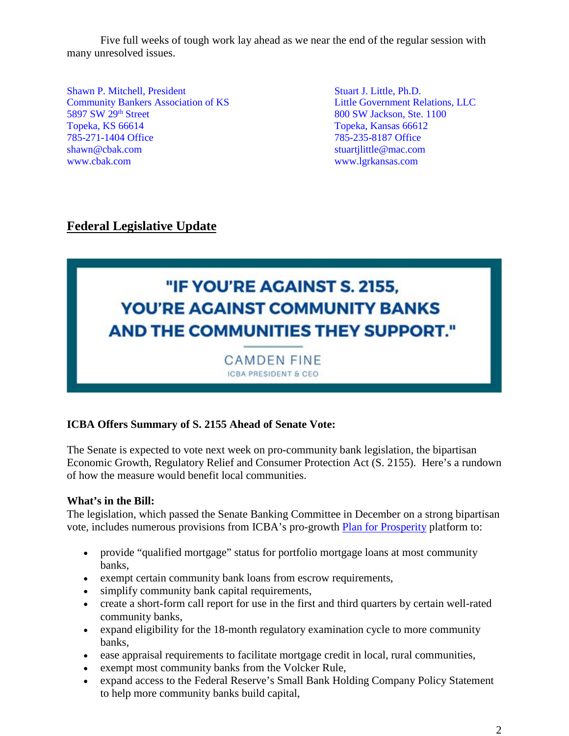Five full weeks of tough work lay ahead as we near the end of the regular session with many unresolved issues.

Shawn P. Mitchell, President Stuart J. Little, Ph.D. Community Bankers Association of KS<br>
5897 SW 29<sup>th</sup> Street<br>
800 SW Jackson, Ste. 1100 Topeka, KS 66614 Topeka, Kansas 66612 785-271-1404 Office 785-235-8187 Office [shawn@cbak.com](mailto:shawn@cbak.com) stuartilittle@mac.com [www.cbak.com](http://www.cbak.com/) [www.lgrkansas.com](http://www.lgrkansas.com/)

800 SW Jackson, Ste. 1100

## **Federal Legislative Update**

# "IF YOU'RE AGAINST S. 2155. **YOU'RE AGAINST COMMUNITY BANKS AND THE COMMUNITIES THEY SUPPORT."**

**CAMDEN FINE ICBA PRESIDENT & CEO** 

## **ICBA Offers Summary of S. 2155 Ahead of Senate Vote:**

The Senate is expected to vote next week on pro-community bank legislation, the bipartisan Economic Growth, Regulatory Relief and Consumer Protection Act (S. 2155). Here's a rundown of how the measure would benefit local communities.

### **What's in the Bill:**

The legislation, which passed the Senate Banking Committee in December on a strong bipartisan vote, includes numerous provisions from ICBA's pro-growth [Plan for Prosperity](http://www.icba.org/docs/default-source/icba/advocacy-documents/priorities/icbaplanforprosperity) platform to:

- provide "qualified mortgage" status for portfolio mortgage loans at most community banks,
- exempt certain community bank loans from escrow requirements,
- simplify community bank capital requirements,
- create a short-form call report for use in the first and third quarters by certain well-rated community banks,
- expand eligibility for the 18-month regulatory examination cycle to more community banks,
- ease appraisal requirements to facilitate mortgage credit in local, rural communities,
- exempt most community banks from the Volcker Rule,
- expand access to the Federal Reserve's Small Bank Holding Company Policy Statement to help more community banks build capital,